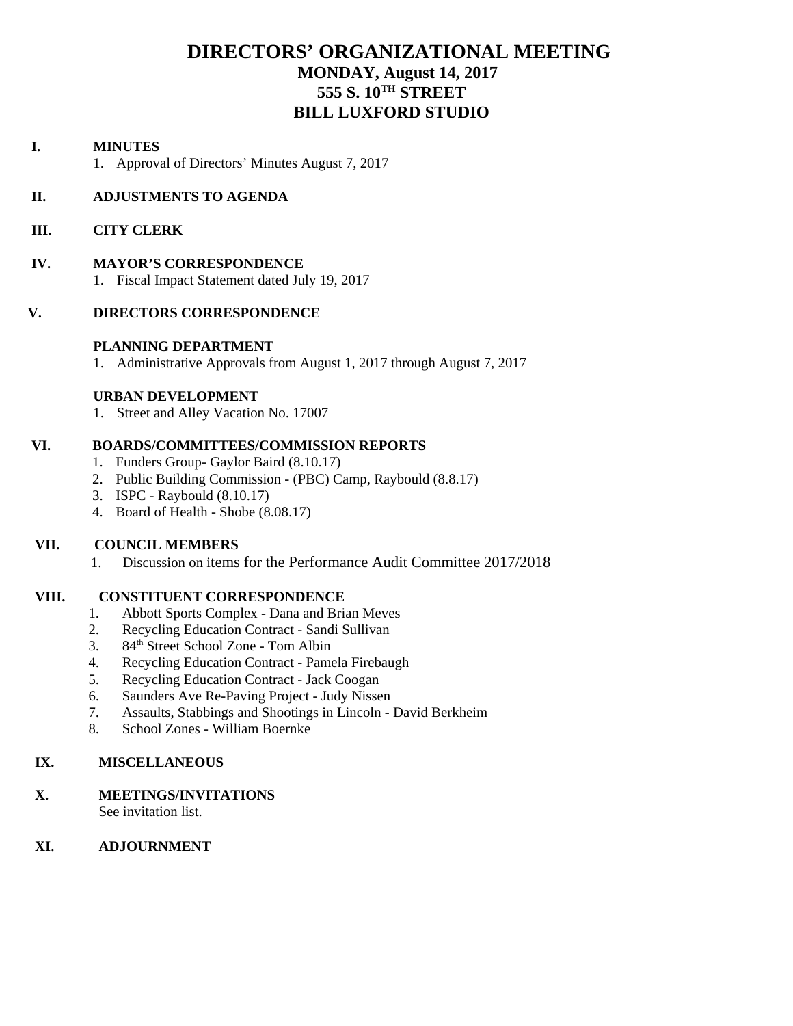# **DIRECTORS' ORGANIZATIONAL MEETING MONDAY, August 14, 2017 555 S. 10TH STREET BILL LUXFORD STUDIO**

#### **I. MINUTES**

1. Approval of Directors' Minutes August 7, 2017

#### **II. ADJUSTMENTS TO AGENDA**

#### **III. CITY CLERK**

#### **IV. MAYOR'S CORRESPONDENCE**

1. Fiscal Impact Statement dated July 19, 2017

#### **V. DIRECTORS CORRESPONDENCE**

#### **PLANNING DEPARTMENT**

1. Administrative Approvals from August 1, 2017 through August 7, 2017

#### **URBAN DEVELOPMENT**

1. Street and Alley Vacation No. 17007

#### **VI. BOARDS/COMMITTEES/COMMISSION REPORTS**

- 1. Funders Group- Gaylor Baird (8.10.17)
- 2. Public Building Commission (PBC) Camp, Raybould (8.8.17)
- 3. ISPC Raybould (8.10.17)
- 4. Board of Health Shobe (8.08.17)

# **VII. COUNCIL MEMBERS**

1. Discussion on items for the Performance Audit Committee 2017/2018

#### **VIII. CONSTITUENT CORRESPONDENCE**

- 1. Abbott Sports Complex Dana and Brian Meves
- 2. Recycling Education Contract Sandi Sullivan
- 3. 84<sup>th</sup> Street School Zone Tom Albin
- 4. Recycling Education Contract Pamela Firebaugh
- 5. Recycling Education Contract Jack Coogan
- 6. Saunders Ave Re-Paving Project Judy Nissen
- 7. Assaults, Stabbings and Shootings in Lincoln David Berkheim
- 8. School Zones William Boernke

#### **IX. MISCELLANEOUS**

#### **X. MEETINGS/INVITATIONS**

See invitation list.

# **XI. ADJOURNMENT**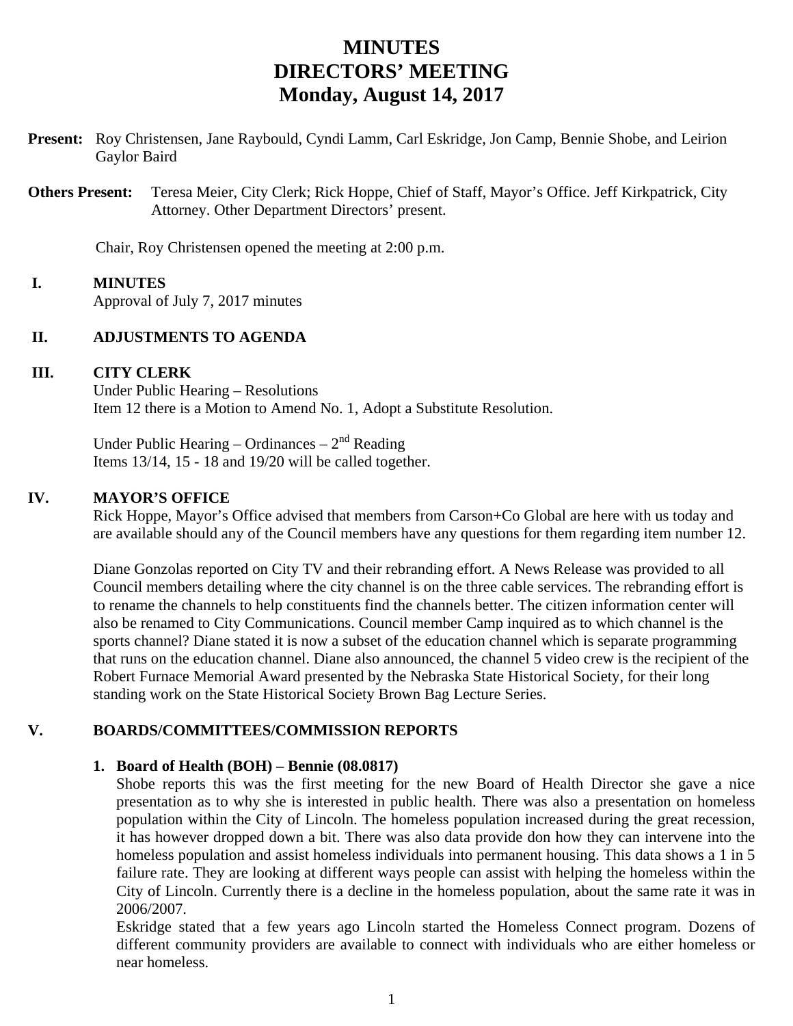# **MINUTES DIRECTORS' MEETING Monday, August 14, 2017**

**Present:** Roy Christensen, Jane Raybould, Cyndi Lamm, Carl Eskridge, Jon Camp, Bennie Shobe, and Leirion Gaylor Baird

**Others Present:** Teresa Meier, City Clerk; Rick Hoppe, Chief of Staff, Mayor's Office. Jeff Kirkpatrick, City Attorney. Other Department Directors' present.

Chair, Roy Christensen opened the meeting at 2:00 p.m.

# **I. MINUTES**

Approval of July 7, 2017 minutes

# **II. ADJUSTMENTS TO AGENDA**

# **III. CITY CLERK**

Under Public Hearing – Resolutions Item 12 there is a Motion to Amend No. 1, Adopt a Substitute Resolution.

Under Public Hearing – Ordinances –  $2<sup>nd</sup>$  Reading Items 13/14, 15 - 18 and 19/20 will be called together.

#### **IV. MAYOR'S OFFICE**

Rick Hoppe, Mayor's Office advised that members from Carson+Co Global are here with us today and are available should any of the Council members have any questions for them regarding item number 12.

Diane Gonzolas reported on City TV and their rebranding effort. A News Release was provided to all Council members detailing where the city channel is on the three cable services. The rebranding effort is to rename the channels to help constituents find the channels better. The citizen information center will also be renamed to City Communications. Council member Camp inquired as to which channel is the sports channel? Diane stated it is now a subset of the education channel which is separate programming that runs on the education channel. Diane also announced, the channel 5 video crew is the recipient of the Robert Furnace Memorial Award presented by the Nebraska State Historical Society, for their long standing work on the State Historical Society Brown Bag Lecture Series.

# **V. BOARDS/COMMITTEES/COMMISSION REPORTS**

# **1. Board of Health (BOH) – Bennie (08.0817)**

Shobe reports this was the first meeting for the new Board of Health Director she gave a nice presentation as to why she is interested in public health. There was also a presentation on homeless population within the City of Lincoln. The homeless population increased during the great recession, it has however dropped down a bit. There was also data provide don how they can intervene into the homeless population and assist homeless individuals into permanent housing. This data shows a 1 in 5 failure rate. They are looking at different ways people can assist with helping the homeless within the City of Lincoln. Currently there is a decline in the homeless population, about the same rate it was in 2006/2007.

Eskridge stated that a few years ago Lincoln started the Homeless Connect program. Dozens of different community providers are available to connect with individuals who are either homeless or near homeless.